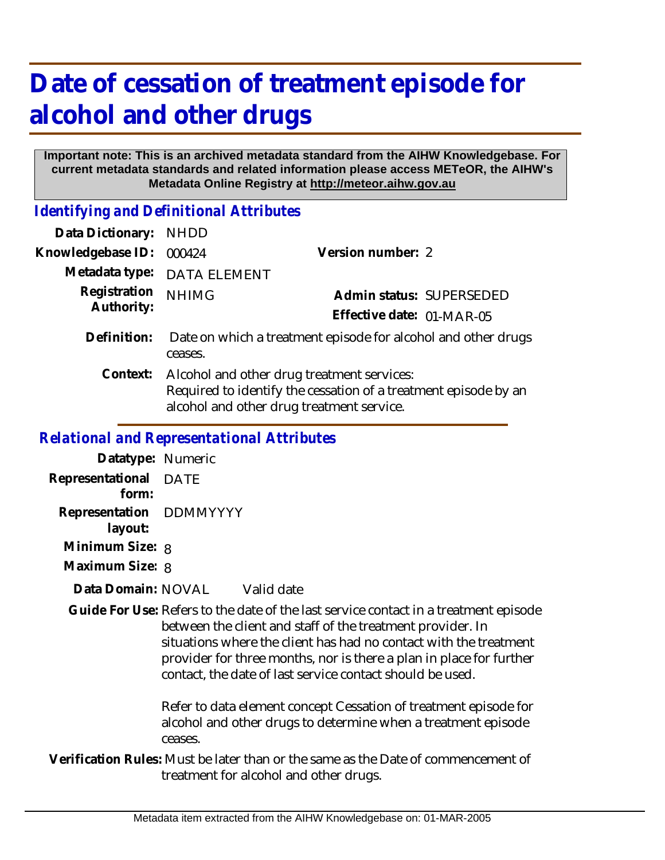## **Date of cessation of treatment episode for alcohol and other drugs**

## **Important note: This is an archived metadata standard from the AIHW Knowledgebase. For current metadata standards and related information please access METeOR, the AIHW's Metadata Online Registry at http://meteor.aihw.gov.au**

*Identifying and Definitional Attributes*

| Data Dictionary:  | <b>NHDD</b>                                                                                                                                                |                           |                          |
|-------------------|------------------------------------------------------------------------------------------------------------------------------------------------------------|---------------------------|--------------------------|
| Knowledgebase ID: | 000424                                                                                                                                                     | Version number: 2         |                          |
| Metadata type:    | <b>DATA ELEMENT</b>                                                                                                                                        |                           |                          |
| Registration      | <b>NHIMG</b>                                                                                                                                               |                           | Admin status: SUPERSEDED |
| Authority:        |                                                                                                                                                            | Effective date: 01-MAR-05 |                          |
| Definition:       | Date on which a treatment episode for alcohol and other drugs<br>ceases.                                                                                   |                           |                          |
| Context:          | Alcohol and other drug treatment services:<br>Required to identify the cessation of a treatment episode by an<br>alcohol and other drug treatment service. |                           |                          |
|                   |                                                                                                                                                            |                           |                          |

## *Relational and Representational Attributes*

**Datatype:** Numeric **Representational** DATE  **form: Representation** DDMMYYYY  **layout: Minimum Size:** 8

**Maximum Size:** 8

## Valid date **Data Domain:**

Guide For Use: Refers to the date of the last service contact in a treatment episode between the client and staff of the treatment provider. In situations where the client has had no contact with the treatment provider for three months, nor is there a plan in place for further contact, the date of last service contact should be used.

> Refer to data element concept Cessation of treatment episode for alcohol and other drugs to determine when a treatment episode ceases.

Verification Rules: Must be later than or the same as the Date of commencement of treatment for alcohol and other drugs.